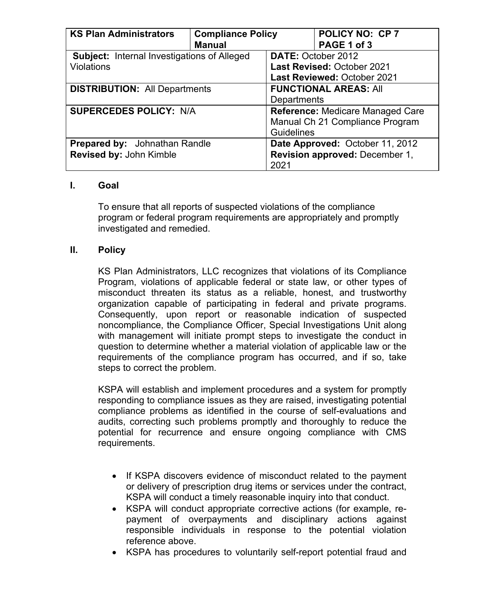| <b>KS Plan Administrators</b>                      | <b>Compliance Policy</b><br><b>Manual</b> |                                   | <b>POLICY NO: CP 7</b><br>PAGE 1 of 3 |
|----------------------------------------------------|-------------------------------------------|-----------------------------------|---------------------------------------|
|                                                    |                                           |                                   |                                       |
| <b>Subject: Internal Investigations of Alleged</b> |                                           | <b>DATE: October 2012</b>         |                                       |
| Violations                                         |                                           | <b>Last Revised: October 2021</b> |                                       |
|                                                    |                                           | Last Reviewed: October 2021       |                                       |
| <b>DISTRIBUTION: All Departments</b>               |                                           | <b>FUNCTIONAL AREAS: All</b>      |                                       |
|                                                    |                                           | Departments                       |                                       |
| <b>SUPERCEDES POLICY: N/A</b>                      |                                           | Reference: Medicare Managed Care  |                                       |
|                                                    |                                           |                                   | Manual Ch 21 Compliance Program       |
|                                                    |                                           | <b>Guidelines</b>                 |                                       |
| <b>Prepared by:</b> Johnathan Randle               | Date Approved: October 11, 2012           |                                   |                                       |
| Revised by: John Kimble                            |                                           | Revision approved: December 1,    |                                       |
|                                                    |                                           | 2021                              |                                       |

## **I. Goal**

To ensure that all reports of suspected violations of the compliance program or federal program requirements are appropriately and promptly investigated and remedied.

## **II. Policy**

KS Plan Administrators, LLC recognizes that violations of its Compliance Program, violations of applicable federal or state law, or other types of misconduct threaten its status as a reliable, honest, and trustworthy organization capable of participating in federal and private programs. Consequently, upon report or reasonable indication of suspected noncompliance, the Compliance Officer, Special Investigations Unit along with management will initiate prompt steps to investigate the conduct in question to determine whether a material violation of applicable law or the requirements of the compliance program has occurred, and if so, take steps to correct the problem.

KSPA will establish and implement procedures and a system for promptly responding to compliance issues as they are raised, investigating potential compliance problems as identified in the course of self-evaluations and audits, correcting such problems promptly and thoroughly to reduce the potential for recurrence and ensure ongoing compliance with CMS requirements.

- If KSPA discovers evidence of misconduct related to the payment or delivery of prescription drug items or services under the contract, KSPA will conduct a timely reasonable inquiry into that conduct.
- KSPA will conduct appropriate corrective actions (for example, repayment of overpayments and disciplinary actions against responsible individuals in response to the potential violation reference above.
- KSPA has procedures to voluntarily self-report potential fraud and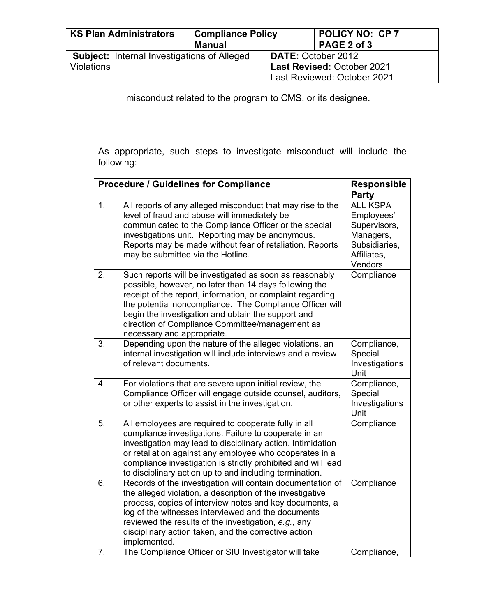| <b>KS Plan Administrators</b><br><b>Compliance Policy</b> |               |                                   | <b>POLICY NO: CP 7</b> |
|-----------------------------------------------------------|---------------|-----------------------------------|------------------------|
|                                                           | <b>Manual</b> |                                   | PAGE 2 of 3            |
| <b>Subject:</b> Internal Investigations of Alleged        |               | DATE: October 2012                |                        |
| <b>Violations</b>                                         |               | <b>Last Revised: October 2021</b> |                        |
|                                                           |               | Last Reviewed: October 2021       |                        |

misconduct related to the program to CMS, or its designee.

As appropriate, such steps to investigate misconduct will include the following:

|                | <b>Procedure / Guidelines for Compliance</b>                                                                                                                                                                                                                                                                                                                                       | <b>Responsible</b>                                                                                    |
|----------------|------------------------------------------------------------------------------------------------------------------------------------------------------------------------------------------------------------------------------------------------------------------------------------------------------------------------------------------------------------------------------------|-------------------------------------------------------------------------------------------------------|
|                |                                                                                                                                                                                                                                                                                                                                                                                    | <b>Party</b>                                                                                          |
| 1 <sub>1</sub> | All reports of any alleged misconduct that may rise to the<br>level of fraud and abuse will immediately be<br>communicated to the Compliance Officer or the special<br>investigations unit. Reporting may be anonymous.<br>Reports may be made without fear of retaliation. Reports<br>may be submitted via the Hotline.                                                           | <b>ALL KSPA</b><br>Employees'<br>Supervisors,<br>Managers,<br>Subsidiaries,<br>Affiliates,<br>Vendors |
| 2.             | Such reports will be investigated as soon as reasonably<br>possible, however, no later than 14 days following the<br>receipt of the report, information, or complaint regarding<br>the potential noncompliance. The Compliance Officer will<br>begin the investigation and obtain the support and<br>direction of Compliance Committee/management as<br>necessary and appropriate. | Compliance                                                                                            |
| 3.             | Depending upon the nature of the alleged violations, an<br>internal investigation will include interviews and a review<br>of relevant documents.                                                                                                                                                                                                                                   | Compliance,<br>Special<br>Investigations<br>Unit                                                      |
| 4.             | For violations that are severe upon initial review, the<br>Compliance Officer will engage outside counsel, auditors,<br>or other experts to assist in the investigation.                                                                                                                                                                                                           | Compliance,<br>Special<br>Investigations<br>Unit                                                      |
| 5.             | All employees are required to cooperate fully in all<br>compliance investigations. Failure to cooperate in an<br>investigation may lead to disciplinary action. Intimidation<br>or retaliation against any employee who cooperates in a<br>compliance investigation is strictly prohibited and will lead<br>to disciplinary action up to and including termination.                | Compliance                                                                                            |
| 6.             | Records of the investigation will contain documentation of<br>the alleged violation, a description of the investigative<br>process, copies of interview notes and key documents, a<br>log of the witnesses interviewed and the documents<br>reviewed the results of the investigation, e.g., any<br>disciplinary action taken, and the corrective action<br>implemented.           | Compliance                                                                                            |
| 7.             | The Compliance Officer or SIU Investigator will take                                                                                                                                                                                                                                                                                                                               | Compliance,                                                                                           |